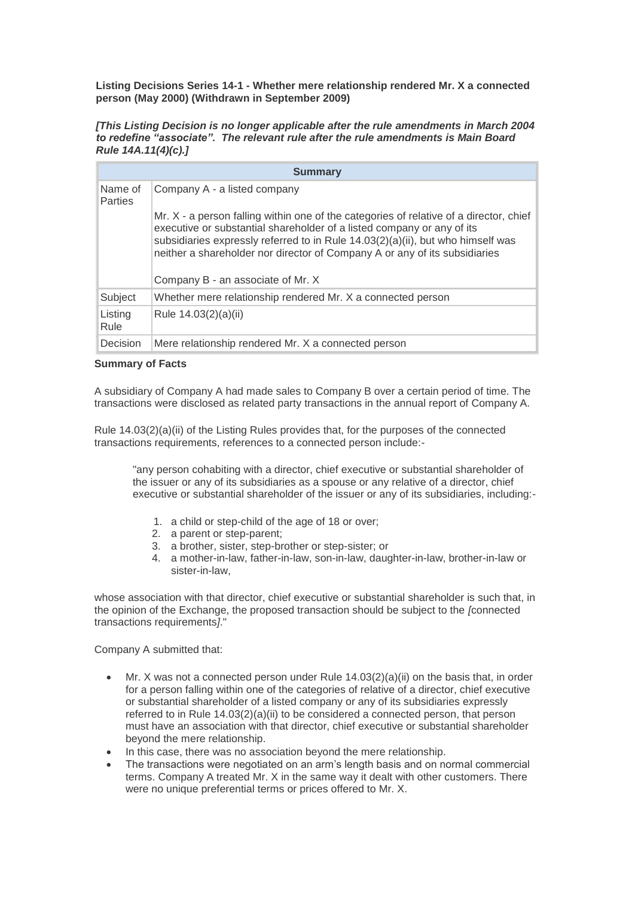**Listing Decisions Series 14-1 - Whether mere relationship rendered Mr. X a connected person (May 2000) (Withdrawn in September 2009)**

*[This Listing Decision is no longer applicable after the rule amendments in March 2004 to redefine "associate". The relevant rule after the rule amendments is Main Board Rule 14A.11(4)(c).]*

| <b>Summary</b>            |                                                                                                                                                                                                                                                                                                                                                                        |
|---------------------------|------------------------------------------------------------------------------------------------------------------------------------------------------------------------------------------------------------------------------------------------------------------------------------------------------------------------------------------------------------------------|
| Name of<br><b>Parties</b> | Company A - a listed company                                                                                                                                                                                                                                                                                                                                           |
|                           | Mr. X - a person falling within one of the categories of relative of a director, chief<br>executive or substantial shareholder of a listed company or any of its<br>subsidiaries expressly referred to in Rule 14.03(2)(a)(ii), but who himself was<br>neither a shareholder nor director of Company A or any of its subsidiaries<br>Company B - an associate of Mr. X |
| Subject                   | Whether mere relationship rendered Mr. X a connected person                                                                                                                                                                                                                                                                                                            |
| Listing<br>Rule           | Rule 14.03(2)(a)(ii)                                                                                                                                                                                                                                                                                                                                                   |
| Decision                  | Mere relationship rendered Mr. X a connected person                                                                                                                                                                                                                                                                                                                    |

## **Summary of Facts**

A subsidiary of Company A had made sales to Company B over a certain period of time. The transactions were disclosed as related party transactions in the annual report of Company A.

Rule 14.03(2)(a)(ii) of the Listing Rules provides that, for the purposes of the connected transactions requirements, references to a connected person include:-

"any person cohabiting with a director, chief executive or substantial shareholder of the issuer or any of its subsidiaries as a spouse or any relative of a director, chief executive or substantial shareholder of the issuer or any of its subsidiaries, including:-

- 1. a child or step-child of the age of 18 or over;
- 2. a parent or step-parent;
- 3. a brother, sister, step-brother or step-sister; or
- 4. a mother-in-law, father-in-law, son-in-law, daughter-in-law, brother-in-law or sister-in-law,

whose association with that director, chief executive or substantial shareholder is such that, in the opinion of the Exchange, the proposed transaction should be subject to the *[*connected transactions requirements*]*."

Company A submitted that:

- Mr. X was not a connected person under Rule  $14.03(2)(a)(ii)$  on the basis that, in order for a person falling within one of the categories of relative of a director, chief executive or substantial shareholder of a listed company or any of its subsidiaries expressly referred to in Rule 14.03(2)(a)(ii) to be considered a connected person, that person must have an association with that director, chief executive or substantial shareholder beyond the mere relationship.
- In this case, there was no association beyond the mere relationship.
- The transactions were negotiated on an arm's length basis and on normal commercial terms. Company A treated Mr. X in the same way it dealt with other customers. There were no unique preferential terms or prices offered to Mr. X.